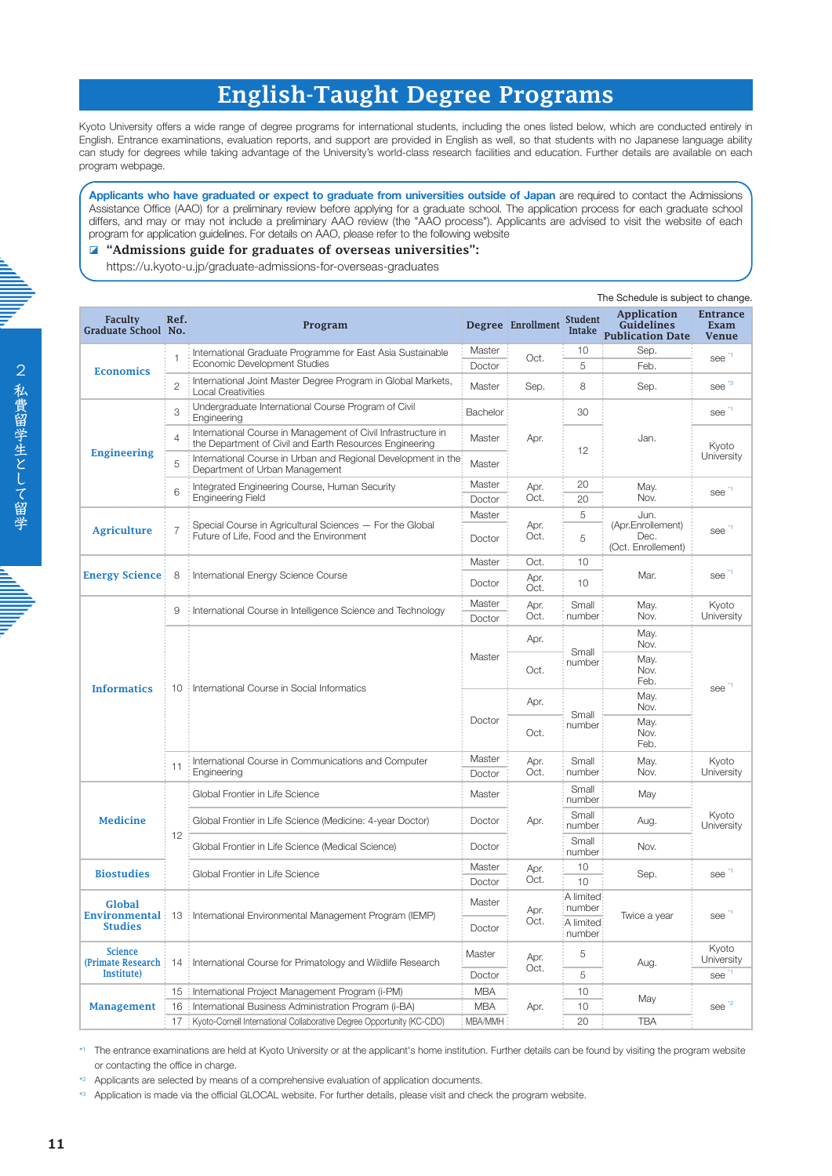# English-Taught Degree Programs

Kyoto University offers a wide range of degree programs for international students, including the ones listed below, which are conducted entirely in English. Entrance examinations, evaluation reports, and support are provided in English as well, so that students with no Japanese language ability can study for degrees while taking advantage of the University's world-class research facilities and education. Further details are available on each program webpage.

**Applicants who have graduated or expect to graduate from universities outside of Japan** are required to contact the Admissions Assistance Office (AAO) for a preliminary review before applying for a graduate school. The application process for each graduate school differs, and may or may not include a preliminary AAO review (the "AAO process"). Applicants are advised to visit the website of each program for application guidelines. For details on AAO, please refer to the following website

# ◪ "Admissions guide for graduates of overseas universities":

https://u.kyoto-u.jp/graduate-admissions-for-overseas-graduates

|                                                           |                | The Schedule is subject to change.                                                                                       |                  |                                 |                          |                                                             |                                         |  |
|-----------------------------------------------------------|----------------|--------------------------------------------------------------------------------------------------------------------------|------------------|---------------------------------|--------------------------|-------------------------------------------------------------|-----------------------------------------|--|
| <b>Faculty</b><br><b>Graduate School No.</b>              | Ref.           | Program                                                                                                                  |                  | Degree Enrollment               | <b>Student</b><br>Intake | Application<br><b>Guidelines</b><br><b>Publication Date</b> | <b>Entrance</b><br>Exam<br><b>Venue</b> |  |
| <b>Economics</b>                                          | 1              | International Graduate Programme for East Asia Sustainable<br>Economic Development Studies                               | Master           | Oct.                            | 10                       | Sep.                                                        | see                                     |  |
|                                                           |                |                                                                                                                          | Doctor           |                                 | 5                        | Feb.                                                        |                                         |  |
|                                                           | $\overline{c}$ | International Joint Master Degree Program in Global Markets,<br><b>Local Creativities</b>                                | Master           | Sep.                            | 8                        | Sep.                                                        | see <sup>3</sup>                        |  |
| <b>Engineering</b>                                        | 3              | Undergraduate International Course Program of Civil<br>Engineering                                                       | Bachelor         | 30<br>Apr.<br>12                |                          | see <sup>-1</sup>                                           |                                         |  |
|                                                           | $\overline{4}$ | International Course in Management of Civil Infrastructure in<br>the Department of Civil and Earth Resources Engineering | Master           |                                 |                          | Jan.                                                        | Kyoto<br>University                     |  |
|                                                           | 5              | International Course in Urban and Regional Development in the<br>Department of Urban Management                          | Master           |                                 |                          |                                                             |                                         |  |
|                                                           | 6              | Integrated Engineering Course, Human Security<br><b>Engineering Field</b>                                                | Master           | Apr.                            | 20<br>May.               |                                                             | see <sup>1</sup>                        |  |
|                                                           |                |                                                                                                                          | Doctor           | Oct.<br>20                      |                          | Nov.                                                        |                                         |  |
| <b>Agriculture</b>                                        | $\overline{7}$ | Special Course in Agricultural Sciences - For the Global<br>Future of Life, Food and the Environment                     | Master           |                                 | 5                        | Jun.                                                        |                                         |  |
|                                                           |                |                                                                                                                          | Doctor           | Apr.<br>Oct.                    | 5                        | (Apr.Enrollement)<br>Dec.<br>(Oct. Enrollement)             | see <sup>1</sup>                        |  |
| <b>Energy Science:</b>                                    | 8              | International Energy Science Course                                                                                      | Master           | Oct.                            | 10                       | Mar.                                                        | see <sup>1</sup>                        |  |
|                                                           |                |                                                                                                                          | Doctor           | Apr.<br>Oct.                    | 10                       |                                                             |                                         |  |
| <b>Informatics</b>                                        | 9              | : International Course in Intelligence Science and Technology                                                            | Master           | Apr.                            | Small                    | May.                                                        | Kyoto                                   |  |
|                                                           |                |                                                                                                                          | Doctor           | Oct.                            | number                   | Nov.                                                        | University                              |  |
|                                                           |                | 10   International Course in Social Informatics                                                                          | Master           | Apr.                            | Small<br>number          | May.<br>Nov.                                                | see                                     |  |
|                                                           |                |                                                                                                                          |                  | Oct.                            |                          | May.<br>Nov.<br>Feb.                                        |                                         |  |
|                                                           |                |                                                                                                                          | Doctor           | Apr.                            | Small<br>number          | May.<br>Nov.                                                |                                         |  |
|                                                           |                |                                                                                                                          |                  | Oct.                            |                          | May.<br>Nov.<br>Feb.                                        |                                         |  |
|                                                           | 11             | International Course in Communications and Computer<br>Engineering                                                       | Master           | Apr.                            | Small                    | May.                                                        | Kyoto<br>University                     |  |
|                                                           |                |                                                                                                                          | Doctor           | Oct.                            | number<br>Nov.           |                                                             |                                         |  |
| <b>Medicine</b>                                           | 12             | Global Frontier in Life Science                                                                                          | Master           | Small<br>Small<br>Apr.<br>Small | number                   | May                                                         | Kyoto<br>University                     |  |
|                                                           |                | Global Frontier in Life Science (Medicine: 4-year Doctor)                                                                | Doctor           |                                 | number                   | Aug.                                                        |                                         |  |
|                                                           |                | Global Frontier in Life Science (Medical Science)                                                                        | Doctor           |                                 | number                   | Nov.                                                        |                                         |  |
| <b>Biostudies</b>                                         |                | Global Frontier in Life Science                                                                                          | Master           | Apr.                            | 10<br>Sep.               | see <sup>1</sup>                                            |                                         |  |
|                                                           |                |                                                                                                                          | Doctor           | Oct.                            | 10                       |                                                             |                                         |  |
| Global<br><b>Studies</b>                                  |                | <b>Environmental</b> : 13: International Environmental Management Program (IEMP)                                         | Master<br>Doctor | Apr.<br>Oct.                    | A limited<br>number      |                                                             | see                                     |  |
|                                                           |                |                                                                                                                          |                  |                                 | :A limited               | Twice a year                                                |                                         |  |
|                                                           |                |                                                                                                                          |                  |                                 | number                   |                                                             |                                         |  |
| <b>Science</b><br>(Primate Research:<br><b>Institute)</b> | 14             | International Course for Primatology and Wildlife Research                                                               | Master           | Apr.<br>Oct.                    | 5                        | Aug.                                                        | Kyoto<br>University                     |  |
|                                                           |                |                                                                                                                          | Doctor           |                                 | 5                        |                                                             | see <sup>1</sup>                        |  |
| <b>Management</b>                                         | 15             | International Project Management Program (i-PM)                                                                          | <b>MBA</b>       | 10<br>10<br>Apr.<br>20          |                          |                                                             |                                         |  |
|                                                           | 16             | International Business Administration Program (i-BA)                                                                     | <b>MBA</b>       |                                 |                          | May                                                         | see <sup>2</sup>                        |  |
|                                                           | 17             | Kyoto-Cornell International Collaborative Degree Opportunity (KC-CDO)                                                    | MBA/MMH          |                                 |                          | <b>TBA</b>                                                  |                                         |  |
|                                                           |                |                                                                                                                          |                  |                                 |                          |                                                             |                                         |  |

\*1 The entrance examinations are held at Kyoto University or at the applicant's home institution. Further details can be found by visiting the program website or contacting the office in charge.

\*2 Applicants are selected by means of a comprehensive evaluation of application documents.

\*3 Application is made via the official GLOCAL website. For further details, please visit and check the program website.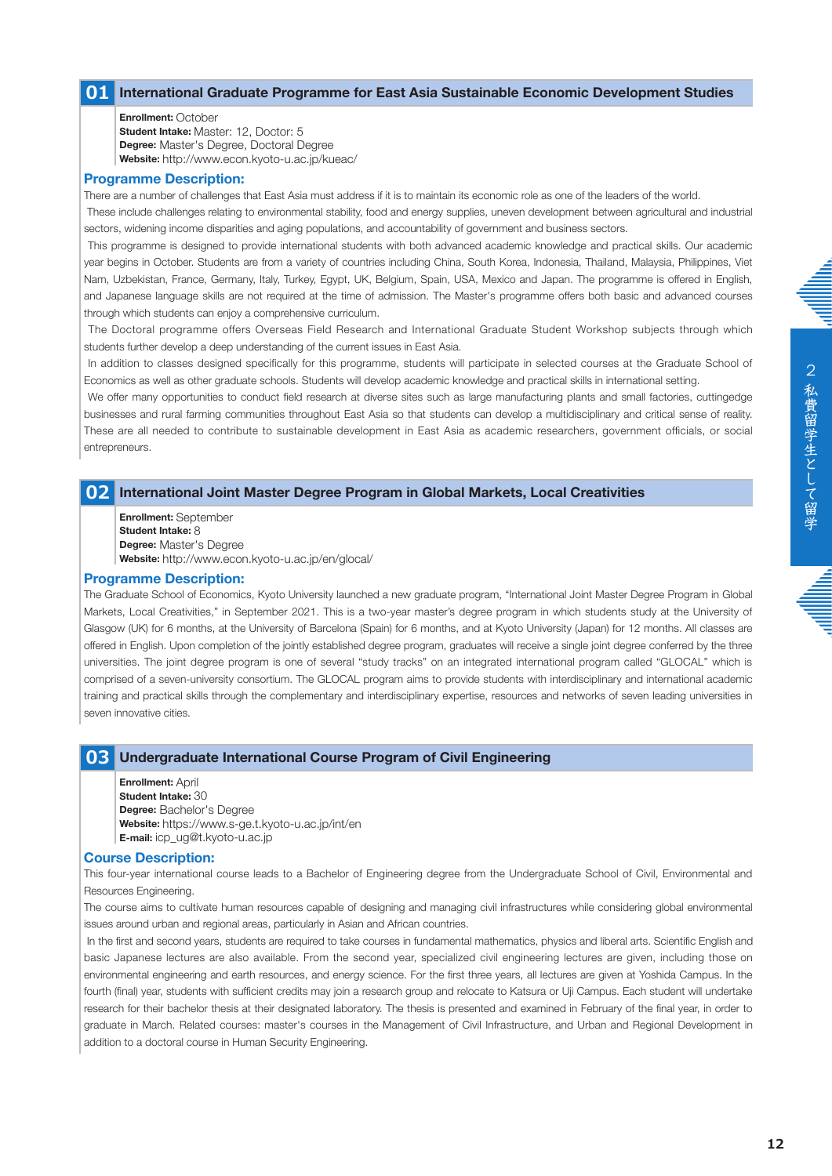# **01 International Graduate Programme for East Asia Sustainable Economic Development Studies**

**Enrollment:** October **Student Intake:** Master: 12, Doctor: 5 **Degree:** Master's Degree, Doctoral Degree **Website:** http://www.econ.kyoto-u.ac.jp/kueac/

#### **Programme Description:**

There are a number of challenges that East Asia must address if it is to maintain its economic role as one of the leaders of the world.

 These include challenges relating to environmental stability, food and energy supplies, uneven development between agricultural and industrial sectors, widening income disparities and aging populations, and accountability of government and business sectors.

 This programme is designed to provide international students with both advanced academic knowledge and practical skills. Our academic year begins in October. Students are from a variety of countries including China, South Korea, Indonesia, Thailand, Malaysia, Philippines, Viet Nam, Uzbekistan, France, Germany, Italy, Turkey, Egypt, UK, Belgium, Spain, USA, Mexico and Japan. The programme is offered in English, and Japanese language skills are not required at the time of admission. The Master's programme offers both basic and advanced courses through which students can enjoy a comprehensive curriculum.

 The Doctoral programme offers Overseas Field Research and International Graduate Student Workshop subjects through which students further develop a deep understanding of the current issues in East Asia.

 In addition to classes designed specifically for this programme, students will participate in selected courses at the Graduate School of Economics as well as other graduate schools. Students will develop academic knowledge and practical skills in international setting.

 We offer many opportunities to conduct field research at diverse sites such as large manufacturing plants and small factories, cuttingedge businesses and rural farming communities throughout East Asia so that students can develop a multidisciplinary and critical sense of reality. These are all needed to contribute to sustainable development in East Asia as academic researchers, government officials, or social entrepreneurs.

#### **02 International Joint Master Degree Program in Global Markets, Local Creativities**

**Enrollment:** September **Student Intake:** 8 **Degree:** Master's Degree **Website:** http://www.econ.kyoto-u.ac.jp/en/glocal/

#### **Programme Description:**

The Graduate School of Economics, Kyoto University launched a new graduate program, "International Joint Master Degree Program in Global Markets, Local Creativities," in September 2021. This is a two-year master's degree program in which students study at the University of Glasgow (UK) for 6 months, at the University of Barcelona (Spain) for 6 months, and at Kyoto University (Japan) for 12 months. All classes are offered in English. Upon completion of the jointly established degree program, graduates will receive a single joint degree conferred by the three universities. The joint degree program is one of several "study tracks" on an integrated international program called "GLOCAL" which is comprised of a seven-university consortium. The GLOCAL program aims to provide students with interdisciplinary and international academic training and practical skills through the complementary and interdisciplinary expertise, resources and networks of seven leading universities in seven innovative cities.

# **03 Undergraduate International Course Program of Civil Engineering**

**Enrollment:** April **Student Intake:** 30 **Degree:** Bachelor's Degree **Website:** https://www.s-ge.t.kyoto-u.ac.jp/int/en **E-mail:** icp\_ug@t.kyoto-u.ac.jp

#### **Course Description:**

This four-year international course leads to a Bachelor of Engineering degree from the Undergraduate School of Civil, Environmental and Resources Engineering.

The course aims to cultivate human resources capable of designing and managing civil infrastructures while considering global environmental issues around urban and regional areas, particularly in Asian and African countries.

 In the first and second years, students are required to take courses in fundamental mathematics, physics and liberal arts. Scientific English and basic Japanese lectures are also available. From the second year, specialized civil engineering lectures are given, including those on environmental engineering and earth resources, and energy science. For the first three years, all lectures are given at Yoshida Campus. In the fourth (final) year, students with sufficient credits may join a research group and relocate to Katsura or Uji Campus. Each student will undertake research for their bachelor thesis at their designated laboratory. The thesis is presented and examined in February of the final year, in order to graduate in March. Related courses: master's courses in the Management of Civil Infrastructure, and Urban and Regional Development in addition to a doctoral course in Human Security Engineering.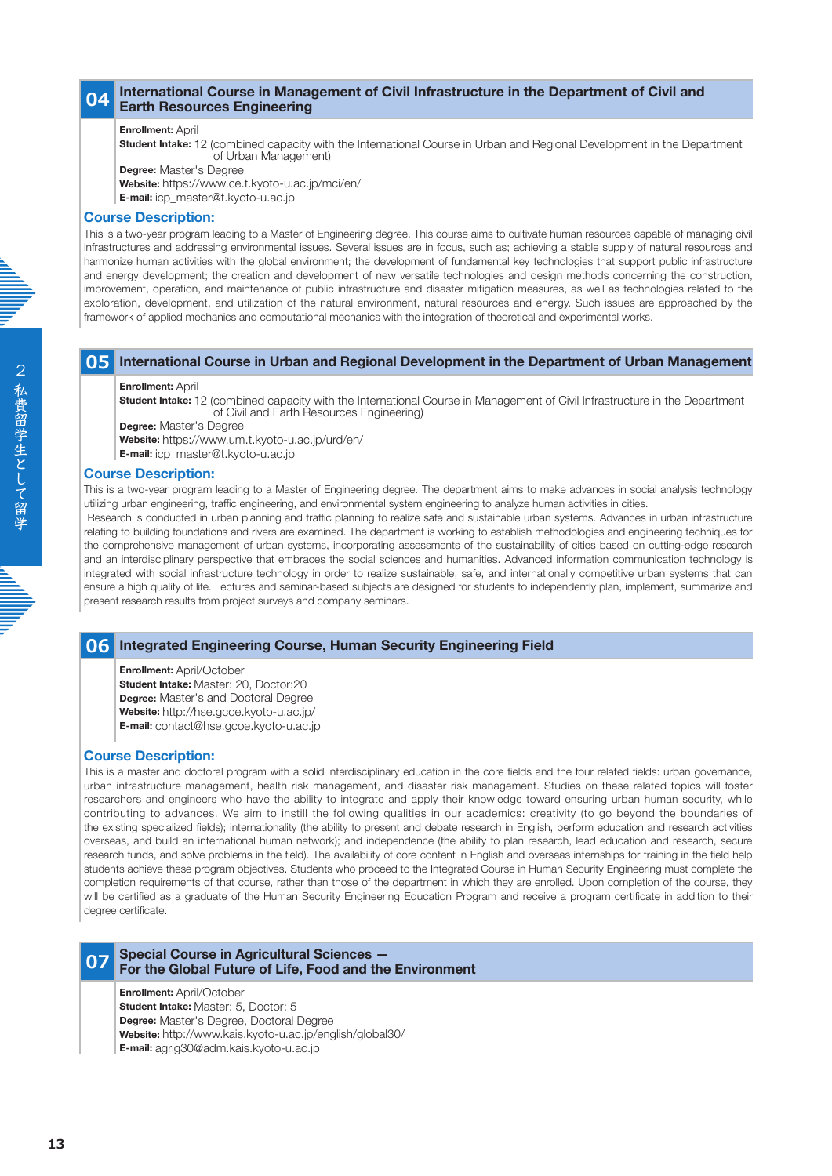# **04 International Course in Management of Civil Infrastructure in the Department of Civil and Earth Resources Engineering**

# **Enrollment:** April

**Student Intake:** 12 (combined capacity with the International Course in Urban and Regional Development in the Department of Urban Management)

**Degree:** Master's Degree

**Website:** https://www.ce.t.kyoto-u.ac.jp/mci/en/

**E-mail:** icp\_master@t.kyoto-u.ac.jp

#### **Course Description:**

This is a two-year program leading to a Master of Engineering degree. This course aims to cultivate human resources capable of managing civil infrastructures and addressing environmental issues. Several issues are in focus, such as; achieving a stable supply of natural resources and harmonize human activities with the global environment; the development of fundamental key technologies that support public infrastructure and energy development; the creation and development of new versatile technologies and design methods concerning the construction, improvement, operation, and maintenance of public infrastructure and disaster mitigation measures, as well as technologies related to the exploration, development, and utilization of the natural environment, natural resources and energy. Such issues are approached by the framework of applied mechanics and computational mechanics with the integration of theoretical and experimental works.

# **05 International Course in Urban and Regional Development in the Department of Urban Management**

#### **Enrollment:** April

**Student Intake:** 12 (combined capacity with the International Course in Management of Civil Infrastructure in the Department of Civil and Earth Resources Engineering)

**Degree:** Master's Degree

**Website:** https://www.um.t.kyoto-u.ac.jp/urd/en/

**E-mail:** icp\_master@t.kyoto-u.ac.jp

#### **Course Description:**

This is a two-year program leading to a Master of Engineering degree. The department aims to make advances in social analysis technology utilizing urban engineering, traffic engineering, and environmental system engineering to analyze human activities in cities.

 Research is conducted in urban planning and traffic planning to realize safe and sustainable urban systems. Advances in urban infrastructure relating to building foundations and rivers are examined. The department is working to establish methodologies and engineering techniques for the comprehensive management of urban systems, incorporating assessments of the sustainability of cities based on cutting-edge research and an interdisciplinary perspective that embraces the social sciences and humanities. Advanced information communication technology is integrated with social infrastructure technology in order to realize sustainable, safe, and internationally competitive urban systems that can ensure a high quality of life. Lectures and seminar-based subjects are designed for students to independently plan, implement, summarize and present research results from project surveys and company seminars.

# **06 Integrated Engineering Course, Human Security Engineering Field**

**Enrollment:** April/October

**Student Intake:** Master: 20, Doctor:20 **Degree:** Master's and Doctoral Degree **Website:** http://hse.gcoe.kyoto-u.ac.jp/ **E-mail:** contact@hse.gcoe.kyoto-u.ac.jp

#### **Course Description:**

This is a master and doctoral program with a solid interdisciplinary education in the core fields and the four related fields: urban governance, urban infrastructure management, health risk management, and disaster risk management. Studies on these related topics will foster researchers and engineers who have the ability to integrate and apply their knowledge toward ensuring urban human security, while contributing to advances. We aim to instill the following qualities in our academics: creativity (to go beyond the boundaries of the existing specialized fields); internationality (the ability to present and debate research in English, perform education and research activities overseas, and build an international human network); and independence (the ability to plan research, lead education and research, secure research funds, and solve problems in the field). The availability of core content in English and overseas internships for training in the field help students achieve these program objectives. Students who proceed to the Integrated Course in Human Security Engineering must complete the completion requirements of that course, rather than those of the department in which they are enrolled. Upon completion of the course, they will be certified as a graduate of the Human Security Engineering Education Program and receive a program certificate in addition to their degree certificate.

# **07 Special Course in Agricultural Sciences — For the Global Future of Life, Food and the Environment**

**Enrollment:** April/October

**Student Intake:** Master: 5, Doctor: 5

**Degree:** Master's Degree, Doctoral Degree

**Website:** http://www.kais.kyoto-u.ac.jp/english/global30/

**E-mail:** agrig30@adm.kais.kyoto-u.ac.jp

**13**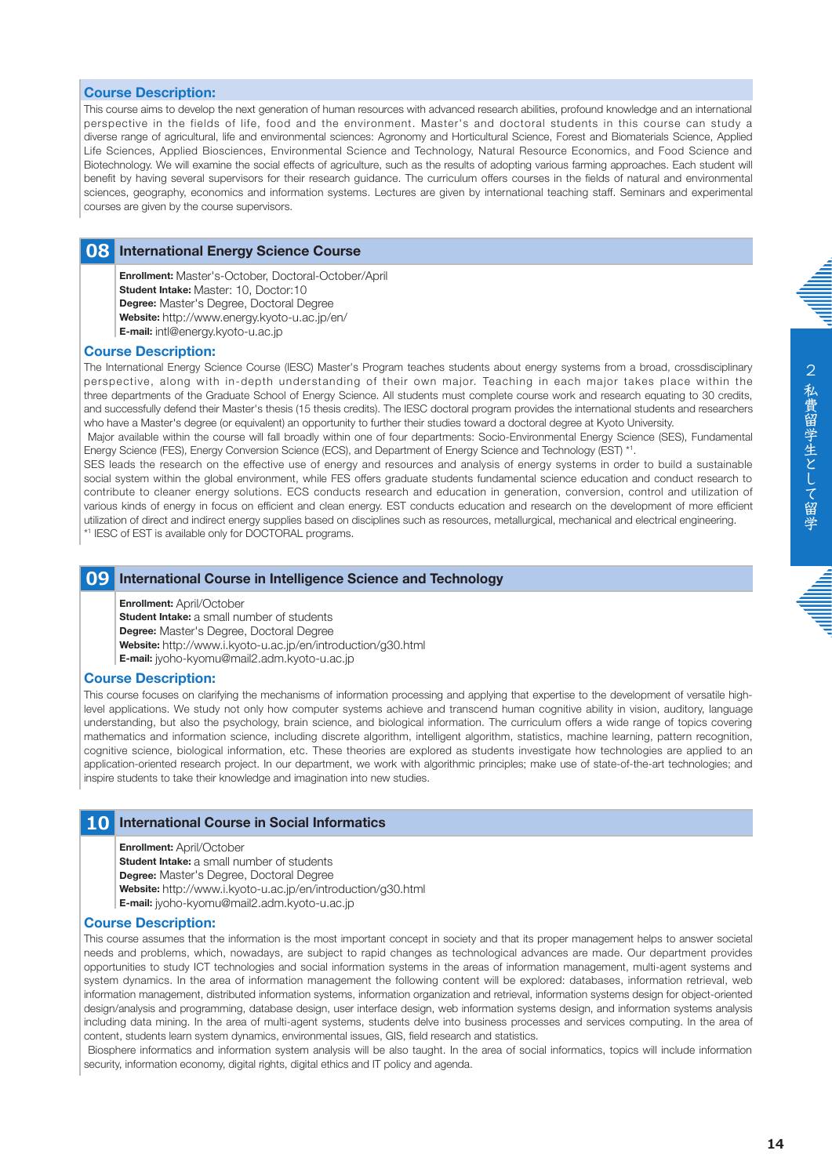#### **Course Description:**

This course aims to develop the next generation of human resources with advanced research abilities, profound knowledge and an international perspective in the fields of life, food and the environment. Master's and doctoral students in this course can study a diverse range of agricultural, life and environmental sciences: Agronomy and Horticultural Science, Forest and Biomaterials Science, Applied Life Sciences, Applied Biosciences, Environmental Science and Technology, Natural Resource Economics, and Food Science and Biotechnology. We will examine the social effects of agriculture, such as the results of adopting various farming approaches. Each student will benefit by having several supervisors for their research guidance. The curriculum offers courses in the fields of natural and environmental sciences, geography, economics and information systems. Lectures are given by international teaching staff. Seminars and experimental courses are given by the course supervisors.

# **08 International Energy Science Course**

**Enrollment:** Master's-October, Doctoral-October/April **Student Intake:** Master: 10, Doctor:10 **Degree:** Master's Degree, Doctoral Degree **Website:** http://www.energy.kyoto-u.ac.jp/en/ **E-mail:** intl@energy.kyoto-u.ac.jp

#### **Course Description:**

The International Energy Science Course (IESC) Master's Program teaches students about energy systems from a broad, crossdisciplinary perspective, along with in-depth understanding of their own major. Teaching in each major takes place within the three departments of the Graduate School of Energy Science. All students must complete course work and research equating to 30 credits, and successfully defend their Master's thesis (15 thesis credits). The IESC doctoral program provides the international students and researchers who have a Master's degree (or equivalent) an opportunity to further their studies toward a doctoral degree at Kyoto University.

 Major available within the course will fall broadly within one of four departments: Socio-Environmental Energy Science (SES), Fundamental Energy Science (FES), Energy Conversion Science (ECS), and Department of Energy Science and Technology (EST) \*<sup>1</sup> .

SES leads the research on the effective use of energy and resources and analysis of energy systems in order to build a sustainable social system within the global environment, while FES offers graduate students fundamental science education and conduct research to contribute to cleaner energy solutions. ECS conducts research and education in generation, conversion, control and utilization of various kinds of energy in focus on efficient and clean energy. EST conducts education and research on the development of more efficient utilization of direct and indirect energy supplies based on disciplines such as resources, metallurgical, mechanical and electrical engineering. \* 1 IESC of EST is available only for DOCTORAL programs.

#### **09 International Course in Intelligence Science and Technology**

#### **Enrollment:** April/October

**Student Intake:** a small number of students

**Degree:** Master's Degree, Doctoral Degree

**Website:** http://www.i.kyoto-u.ac.jp/en/introduction/g30.html

**E-mail:** jyoho-kyomu@mail2.adm.kyoto-u.ac.jp

#### **Course Description:**

This course focuses on clarifying the mechanisms of information processing and applying that expertise to the development of versatile highlevel applications. We study not only how computer systems achieve and transcend human cognitive ability in vision, auditory, language understanding, but also the psychology, brain science, and biological information. The curriculum offers a wide range of topics covering mathematics and information science, including discrete algorithm, intelligent algorithm, statistics, machine learning, pattern recognition, cognitive science, biological information, etc. These theories are explored as students investigate how technologies are applied to an application-oriented research project. In our department, we work with algorithmic principles; make use of state-of-the-art technologies; and inspire students to take their knowledge and imagination into new studies.

#### **10 International Course in Social Informatics**

**Enrollment:** April/October

**Student Intake:** a small number of students

**Degree:** Master's Degree, Doctoral Degree

**Website:** http://www.i.kyoto-u.ac.jp/en/introduction/g30.html

**E-mail:** jyoho-kyomu@mail2.adm.kyoto-u.ac.jp

#### **Course Description:**

This course assumes that the information is the most important concept in society and that its proper management helps to answer societal needs and problems, which, nowadays, are subject to rapid changes as technological advances are made. Our department provides opportunities to study ICT technologies and social information systems in the areas of information management, multi-agent systems and system dynamics. In the area of information management the following content will be explored: databases, information retrieval, web information management, distributed information systems, information organization and retrieval, information systems design for object-oriented design/analysis and programming, database design, user interface design, web information systems design, and information systems analysis including data mining. In the area of multi-agent systems, students delve into business processes and services computing. In the area of content, students learn system dynamics, environmental issues, GIS, field research and statistics.

 Biosphere informatics and information system analysis will be also taught. In the area of social informatics, topics will include information security, information economy, digital rights, digital ethics and IT policy and agenda.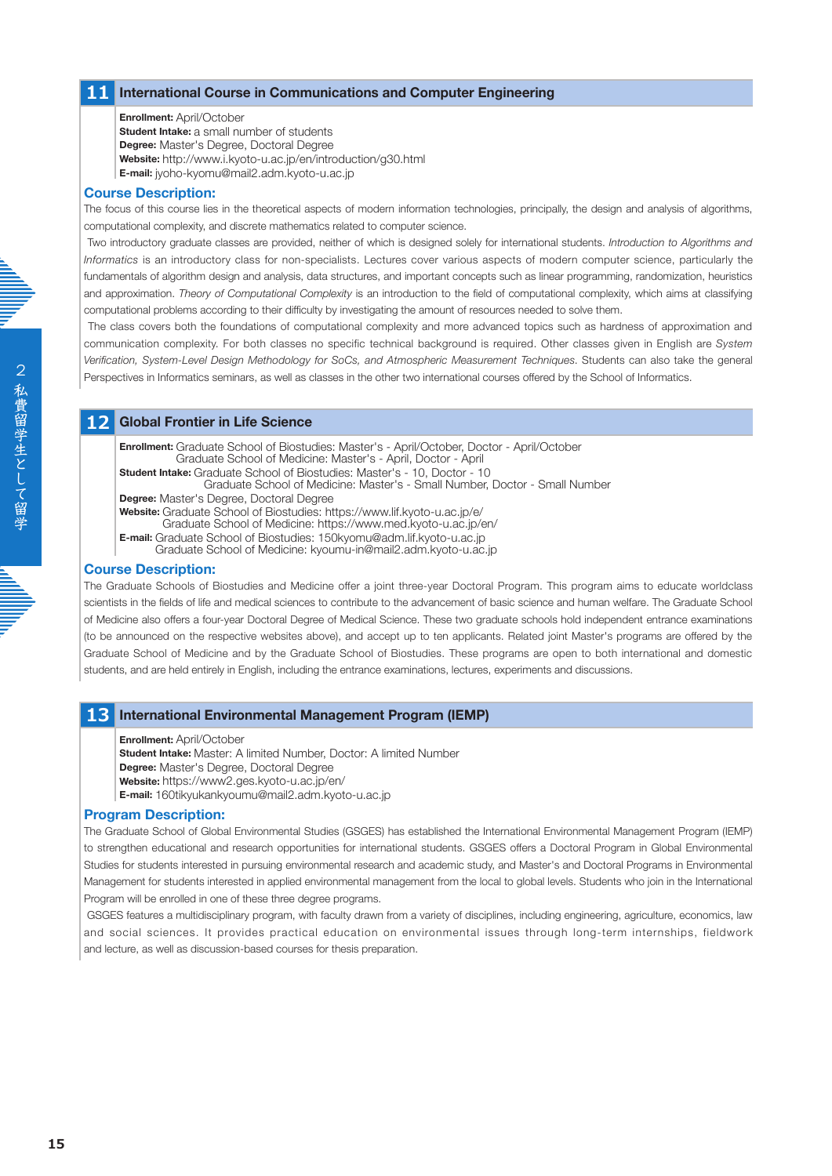# **11 International Course in Communications and Computer Engineering**

#### **Enrollment:** April/October

**Student Intake:** a small number of students **Degree:** Master's Degree, Doctoral Degree **Website:** http://www.i.kyoto-u.ac.jp/en/introduction/g30.html **E-mail:** jyoho-kyomu@mail2.adm.kyoto-u.ac.jp

#### **Course Description:**

The focus of this course lies in the theoretical aspects of modern information technologies, principally, the design and analysis of algorithms, computational complexity, and discrete mathematics related to computer science.

 Two introductory graduate classes are provided, neither of which is designed solely for international students. *Introduction to Algorithms and Informatics* is an introductory class for non-specialists. Lectures cover various aspects of modern computer science, particularly the fundamentals of algorithm design and analysis, data structures, and important concepts such as linear programming, randomization, heuristics and approximation. *Theory of Computational Complexity* is an introduction to the field of computational complexity, which aims at classifying computational problems according to their difficulty by investigating the amount of resources needed to solve them.

 The class covers both the foundations of computational complexity and more advanced topics such as hardness of approximation and communication complexity. For both classes no specific technical background is required. Other classes given in English are *System Verification, System-Level Design Methodology for SoCs, and Atmospheric Measurement Techniques*. Students can also take the general Perspectives in Informatics seminars, as well as classes in the other two international courses offered by the School of Informatics.

# **12 Global Frontier in Life Science**

**Enrollment:** Graduate School of Biostudies: Master's - April/October, Doctor - April/October Graduate School of Medicine: Master's - April, Doctor - April

**Student Intake:** Graduate School of Biostudies: Master's - 10, Doctor - 10

Graduate School of Medicine: Master's - Small Number, Doctor - Small Number

**Degree:** Master's Degree, Doctoral Degree

**Website:** Graduate School of Biostudies: https://www.lif.kyoto-u.ac.jp/e/

Graduate School of Medicine: https://www.med.kyoto-u.ac.jp/en/ **E-mail:** Graduate School of Biostudies: 150kyomu@adm.lif.kyoto-u.ac.jp

Graduate School of Medicine: kyoumu-in@mail2.adm.kyoto-u.ac.jp

# **Course Description:**

The Graduate Schools of Biostudies and Medicine offer a joint three-year Doctoral Program. This program aims to educate worldclass scientists in the fields of life and medical sciences to contribute to the advancement of basic science and human welfare. The Graduate School of Medicine also offers a four-year Doctoral Degree of Medical Science. These two graduate schools hold independent entrance examinations (to be announced on the respective websites above), and accept up to ten applicants. Related joint Master's programs are offered by the Graduate School of Medicine and by the Graduate School of Biostudies. These programs are open to both international and domestic students, and are held entirely in English, including the entrance examinations, lectures, experiments and discussions.

# **13 International Environmental Management Program (IEMP)**

**Enrollment:** April/October

**Student Intake:** Master: A limited Number, Doctor: A limited Number

**Degree:** Master's Degree, Doctoral Degree

**Website:** https://www2.ges.kyoto-u.ac.jp/en/

**E-mail:** 160tikyukankyoumu@mail2.adm.kyoto-u.ac.jp

# **Program Description:**

The Graduate School of Global Environmental Studies (GSGES) has established the International Environmental Management Program (IEMP) to strengthen educational and research opportunities for international students. GSGES offers a Doctoral Program in Global Environmental Studies for students interested in pursuing environmental research and academic study, and Master's and Doctoral Programs in Environmental Management for students interested in applied environmental management from the local to global levels. Students who join in the International Program will be enrolled in one of these three degree programs.

 GSGES features a multidisciplinary program, with faculty drawn from a variety of disciplines, including engineering, agriculture, economics, law and social sciences. It provides practical education on environmental issues through long-term internships, fieldwork and lecture, as well as discussion-based courses for thesis preparation.